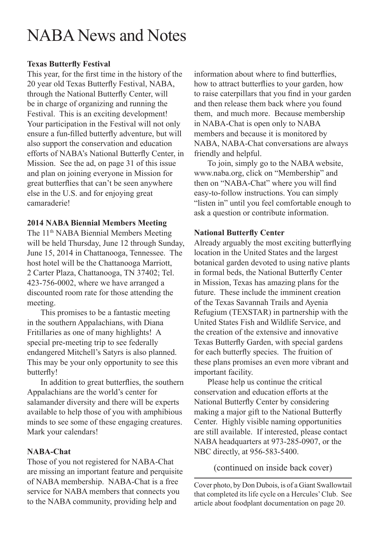# NABA News and Notes

#### **Texas Butterfly Festival**

This year, for the first time in the history of the 20 year old Texas Butterfly Festival, NABA, through the National Butterfly Center, will be in charge of organizing and running the Festival. This is an exciting development! Your participation in the Festival will not only ensure a fun-filled butterfly adventure, but will also support the conservation and education efforts of NABA's National Butterfly Center, in Mission. See the ad, on page 31 of this issue and plan on joining everyone in Mission for great butterflies that can't be seen anywhere else in the U.S. and for enjoying great camaraderie!

#### **2014 NABA Biennial Members Meeting**

The 11<sup>th</sup> NABA Biennial Members Meeting will be held Thursday, June 12 through Sunday, June 15, 2014 in Chattanooga, Tennessee. The host hotel will be the Chattanooga Marriott, 2 Carter Plaza, Chattanooga, TN 37402; Tel. 423-756-0002, where we have arranged a discounted room rate for those attending the meeting.

This promises to be a fantastic meeting in the southern Appalachians, with Diana Fritillaries as one of many highlights! A special pre-meeting trip to see federally endangered Mitchell's Satyrs is also planned. This may be your only opportunity to see this butterfly!

In addition to great butterflies, the southern Appalachians are the world's center for salamander diversity and there will be experts available to help those of you with amphibious minds to see some of these engaging creatures. Mark your calendars!

#### **NABA-Chat**

Those of you not registered for NABA-Chat are missing an important feature and perquisite of NABA membership. NABA-Chat is a free service for NABA members that connects you to the NABA community, providing help and

information about where to find butterflies, how to attract butterflies to your garden, how to raise caterpillars that you find in your garden and then release them back where you found them, and much more. Because membership in NABA-Chat is open only to NABA members and because it is monitored by NABA, NABA-Chat conversations are always friendly and helpful.

To join, simply go to the NABA website, www.naba.org, click on "Membership" and then on "NABA-Chat" where you will find easy-to-follow instructions. You can simply "listen in" until you feel comfortable enough to ask a question or contribute information.

#### **National Butterfly Center**

Already arguably the most exciting butterflying location in the United States and the largest botanical garden devoted to using native plants in formal beds, the National Butterfly Center in Mission, Texas has amazing plans for the future. These include the imminent creation of the Texas Savannah Trails and Ayenia Refugium (TEXSTAR) in partnership with the United States Fish and Wildlife Service, and the creation of the extensive and innovative Texas Butterfly Garden, with special gardens for each butterfly species. The fruition of these plans promises an even more vibrant and important facility.

Please help us continue the critical conservation and education efforts at the National Butterfly Center by considering making a major gift to the National Butterfly Center. Highly visible naming opportunities are still available. If interested, please contact NABA headquarters at 973-285-0907, or the NBC directly, at 956-583-5400.

(continued on inside back cover)

Cover photo, by Don Dubois, is of a Giant Swallowtail that completed its life cycle on a Hercules' Club. See article about foodplant documentation on page 20.